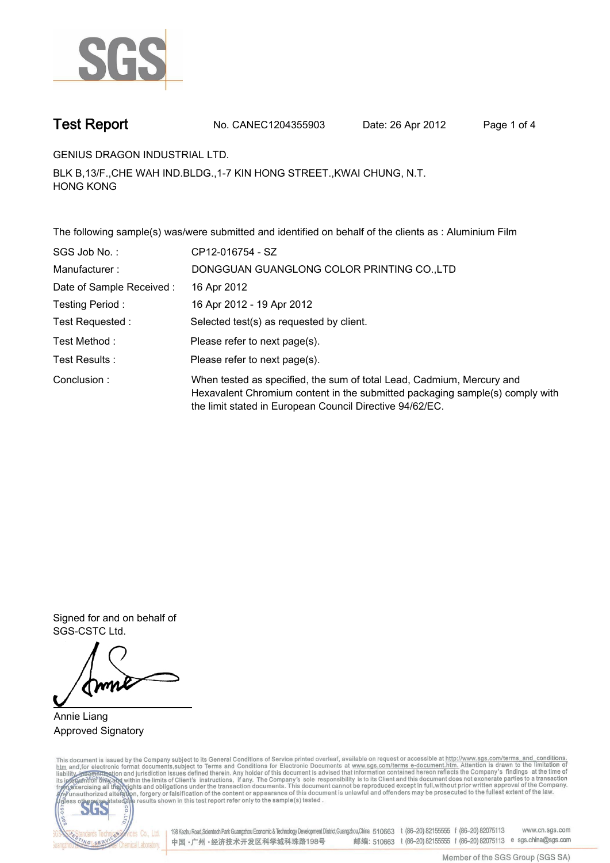

**Test Report. No. CANEC1204355903 Date: 26 Apr 2012. Page 1 of 4.**

**GENIUS DRAGON INDUSTRIAL LTD..**

**BLK B,13/F.,CHE WAH IND.BLDG.,1-7 KIN HONG STREET.,KWAI CHUNG, N.T. HONG KONG.**

**The following sample(s) was/were submitted and identified on behalf of the clients as : Aluminium Film.**

| SGS Job No.:             | CP12-016754 - SZ                                                                                                                                                                                                  |
|--------------------------|-------------------------------------------------------------------------------------------------------------------------------------------------------------------------------------------------------------------|
| Manufacturer:            | DONGGUAN GUANGLONG COLOR PRINTING CO., LTD                                                                                                                                                                        |
| Date of Sample Received: | 16 Apr 2012                                                                                                                                                                                                       |
| Testing Period:          | 16 Apr 2012 - 19 Apr 2012                                                                                                                                                                                         |
| Test Requested :         | Selected test(s) as requested by client.                                                                                                                                                                          |
| Test Method:             | Please refer to next page(s).                                                                                                                                                                                     |
| Test Results :           | Please refer to next page(s).                                                                                                                                                                                     |
| Conclusion:              | When tested as specified, the sum of total Lead, Cadmium, Mercury and<br>Hexavalent Chromium content in the submitted packaging sample(s) comply with<br>the limit stated in European Council Directive 94/62/EC. |

**Signed for and on behalf of SGS-CSTC Ltd..**

**Annie Liang. Approved Signatory.**

This document is issued by the Company subject to its General Conditions of Service printed overleaf, available on request or accessible at http://www.sgs.com/terms\_and\_conditions.<br>htm\_and, for electronic format documents,



198 Kezhu Road,Scientech Park Guangzhou Economic & Technology Development District,Guangzhou,China 510663 t (86-20) 82155555 f (86-20) 82075113 www.cn.sgs.com 邮编: 510663 t (86-20) 82155555 f (86-20) 82075113 e sgs.china@sgs.com 中国·广州·经济技术开发区科学城科珠路198号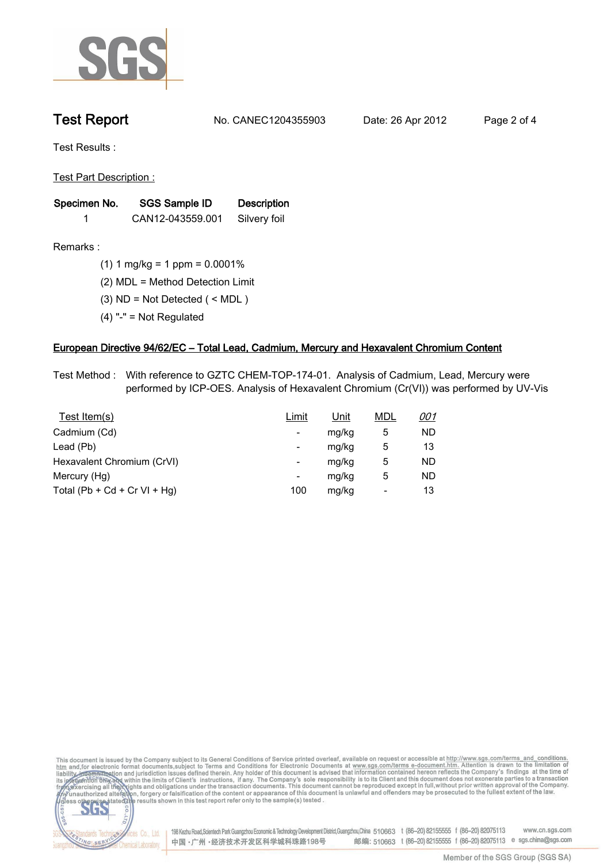

**Test Report. No. CANEC1204355903 Date: 26 Apr 2012. Page 2 of 4.**

**Test Results :.**

**Test Part Description :.**

| Specimen No. | SGS Sample ID    | <b>Description</b> |  |
|--------------|------------------|--------------------|--|
|              | CAN12-043559.001 | Silvery foil       |  |

**Remarks :.(1) 1 mg/kg = 1 ppm = 0.0001%.**

**(2) MDL = Method Detection Limit.**

- **(3) ND = Not Detected ( < MDL ).**
- **(4) "-" = Not Regulated.**

## **European Directive 94/62/EC – Total Lead, Cadmium, Mercury and Hexavalent Chromium Content.**

**Test Method :. With reference to GZTC CHEM-TOP-174-01. Analysis of Cadmium, Lead, Mercury were performed by ICP-OES. Analysis of Hexavalent Chromium (Cr(VI)) was performed by UV-Vis.**

| Test Item(s)                 | Limit                    | <u>Unit</u> | <b>MDL</b> | <u>001</u> |
|------------------------------|--------------------------|-------------|------------|------------|
| Cadmium (Cd)                 | ۰                        | mg/kg       | 5          | ND         |
| Lead (Pb)                    | ۰                        | mg/kg       | 5          | 13         |
| Hexavalent Chromium (CrVI)   | $\overline{\phantom{a}}$ | mg/kg       | 5          | ND         |
| Mercury (Hg)                 | ۰                        | mg/kg       | 5          | ND         |
| Total (Pb + Cd + Cr VI + Hg) | 100                      | mg/kg       |            | 13         |

This document is issued by the Company subject to its General Conditions of Service printed overleaf, available on request or accessible at http://www.sgs.com/terms\_and\_conditions.<br>htm\_and, for electronic format documents,  $co.,$ 



Cos Co., Ltd. 198 Kezhu Road,Scientech Park Guangzhou Economic & Technology Development District,Guangzhou,China 510663 t (86-20) 82155555 f (86-20) 82075113 www.cn.sgs.com 邮编: 510663 t (86-20) 82155555 f (86-20) 82075113 e sgs.china@sgs.com 中国·广州·经济技术开发区科学城科珠路198号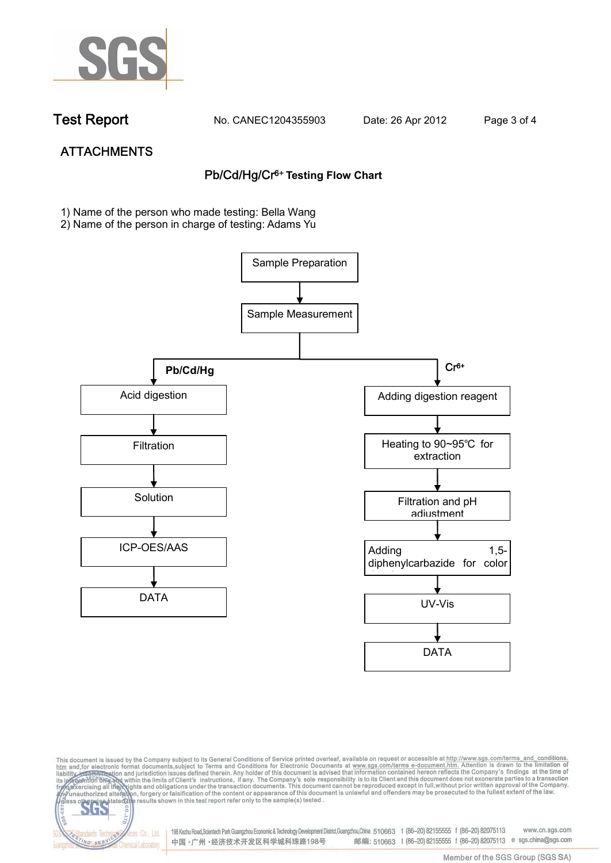

dards Ter

NG SER

vices Co., Ltd.

**Chemical Laboratory** 

**Test Report. No. CANEC1204355903 Date: 26 Apr 2012. Page 3 of 4.**

# **ATTACHMENTS Pb/Cd/Hg/Cr6+ Testing Flow Chart**

**1)** Name of the person who made testing: Bella Wang

2) Name of the person in charge of testing: Adams Yu





198 Kezhu Road,Scientech Park Guangzhou Economic & Technology Development District,Guangzhou,China 510663 t (86-20) 82155555 f (86-20) 82075113 www.cn.sgs.com 邮编: 510663 t (86-20) 82155555 f (86-20) 82075113 e sgs.china@sgs.com 中国·广州·经济技术开发区科学城科珠路198号